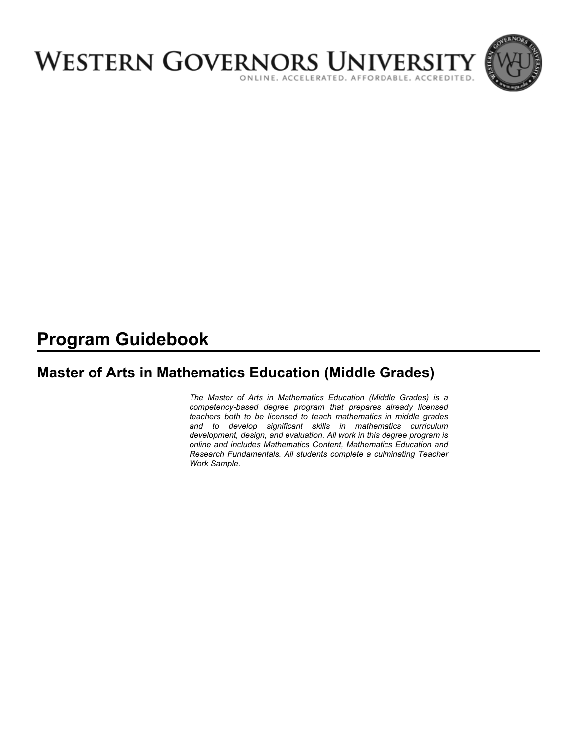

# **Program Guidebook**

# **Master of Arts in Mathematics Education (Middle Grades)**

*The Master of Arts in Mathematics Education (Middle Grades) is a competency-based degree program that prepares already licensed teachers both to be licensed to teach mathematics in middle grades and to develop significant skills in mathematics curriculum development, design, and evaluation. All work in this degree program is online and includes Mathematics Content, Mathematics Education and Research Fundamentals. All students complete a culminating Teacher Work Sample.*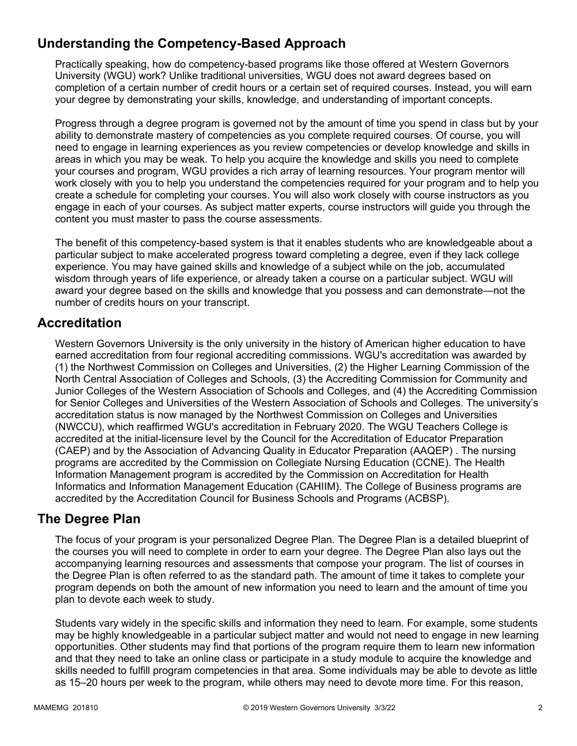# **Understanding the Competency-Based Approach**

Practically speaking, how do competency-based programs like those offered at Western Governors University (WGU) work? Unlike traditional universities, WGU does not award degrees based on completion of a certain number of credit hours or a certain set of required courses. Instead, you will earn your degree by demonstrating your skills, knowledge, and understanding of important concepts.

Progress through a degree program is governed not by the amount of time you spend in class but by your ability to demonstrate mastery of competencies as you complete required courses. Of course, you will need to engage in learning experiences as you review competencies or develop knowledge and skills in areas in which you may be weak. To help you acquire the knowledge and skills you need to complete your courses and program, WGU provides a rich array of learning resources. Your program mentor will work closely with you to help you understand the competencies required for your program and to help you create a schedule for completing your courses. You will also work closely with course instructors as you engage in each of your courses. As subject matter experts, course instructors will guide you through the content you must master to pass the course assessments.

The benefit of this competency-based system is that it enables students who are knowledgeable about a particular subject to make accelerated progress toward completing a degree, even if they lack college experience. You may have gained skills and knowledge of a subject while on the job, accumulated wisdom through years of life experience, or already taken a course on a particular subject. WGU will award your degree based on the skills and knowledge that you possess and can demonstrate—not the number of credits hours on your transcript.

### **Accreditation**

Western Governors University is the only university in the history of American higher education to have earned accreditation from four regional accrediting commissions. WGU's accreditation was awarded by (1) the Northwest Commission on Colleges and Universities, (2) the Higher Learning Commission of the North Central Association of Colleges and Schools, (3) the Accrediting Commission for Community and Junior Colleges of the Western Association of Schools and Colleges, and (4) the Accrediting Commission for Senior Colleges and Universities of the Western Association of Schools and Colleges. The university's accreditation status is now managed by the Northwest Commission on Colleges and Universities (NWCCU), which reaffirmed WGU's accreditation in February 2020. The WGU Teachers College is accredited at the initial-licensure level by the Council for the Accreditation of Educator Preparation (CAEP) and by the Association of Advancing Quality in Educator Preparation (AAQEP) . The nursing programs are accredited by the Commission on Collegiate Nursing Education (CCNE). The Health Information Management program is accredited by the Commission on Accreditation for Health Informatics and Information Management Education (CAHIIM). The College of Business programs are accredited by the Accreditation Council for Business Schools and Programs (ACBSP).

### **The Degree Plan**

The focus of your program is your personalized Degree Plan. The Degree Plan is a detailed blueprint of the courses you will need to complete in order to earn your degree. The Degree Plan also lays out the accompanying learning resources and assessments that compose your program. The list of courses in the Degree Plan is often referred to as the standard path. The amount of time it takes to complete your program depends on both the amount of new information you need to learn and the amount of time you plan to devote each week to study.

Students vary widely in the specific skills and information they need to learn. For example, some students may be highly knowledgeable in a particular subject matter and would not need to engage in new learning opportunities. Other students may find that portions of the program require them to learn new information and that they need to take an online class or participate in a study module to acquire the knowledge and skills needed to fulfill program competencies in that area. Some individuals may be able to devote as little as 15–20 hours per week to the program, while others may need to devote more time. For this reason,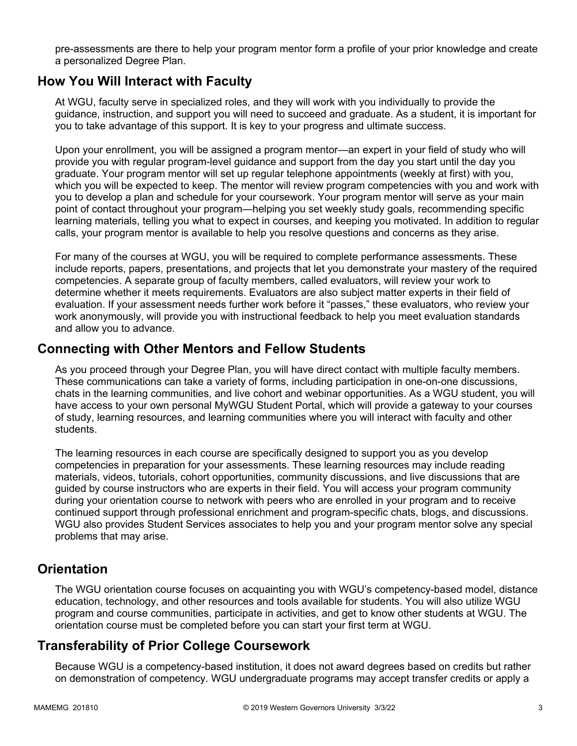pre-assessments are there to help your program mentor form a profile of your prior knowledge and create a personalized Degree Plan.

### **How You Will Interact with Faculty**

At WGU, faculty serve in specialized roles, and they will work with you individually to provide the guidance, instruction, and support you will need to succeed and graduate. As a student, it is important for you to take advantage of this support. It is key to your progress and ultimate success.

Upon your enrollment, you will be assigned a program mentor—an expert in your field of study who will provide you with regular program-level guidance and support from the day you start until the day you graduate. Your program mentor will set up regular telephone appointments (weekly at first) with you, which you will be expected to keep. The mentor will review program competencies with you and work with you to develop a plan and schedule for your coursework. Your program mentor will serve as your main point of contact throughout your program—helping you set weekly study goals, recommending specific learning materials, telling you what to expect in courses, and keeping you motivated. In addition to regular calls, your program mentor is available to help you resolve questions and concerns as they arise.

For many of the courses at WGU, you will be required to complete performance assessments. These include reports, papers, presentations, and projects that let you demonstrate your mastery of the required competencies. A separate group of faculty members, called evaluators, will review your work to determine whether it meets requirements. Evaluators are also subject matter experts in their field of evaluation. If your assessment needs further work before it "passes," these evaluators, who review your work anonymously, will provide you with instructional feedback to help you meet evaluation standards and allow you to advance.

### **Connecting with Other Mentors and Fellow Students**

As you proceed through your Degree Plan, you will have direct contact with multiple faculty members. These communications can take a variety of forms, including participation in one-on-one discussions, chats in the learning communities, and live cohort and webinar opportunities. As a WGU student, you will have access to your own personal MyWGU Student Portal, which will provide a gateway to your courses of study, learning resources, and learning communities where you will interact with faculty and other students.

The learning resources in each course are specifically designed to support you as you develop competencies in preparation for your assessments. These learning resources may include reading materials, videos, tutorials, cohort opportunities, community discussions, and live discussions that are guided by course instructors who are experts in their field. You will access your program community during your orientation course to network with peers who are enrolled in your program and to receive continued support through professional enrichment and program-specific chats, blogs, and discussions. WGU also provides Student Services associates to help you and your program mentor solve any special problems that may arise.

### **Orientation**

The WGU orientation course focuses on acquainting you with WGU's competency-based model, distance education, technology, and other resources and tools available for students. You will also utilize WGU program and course communities, participate in activities, and get to know other students at WGU. The orientation course must be completed before you can start your first term at WGU.

### **Transferability of Prior College Coursework**

Because WGU is a competency-based institution, it does not award degrees based on credits but rather on demonstration of competency. WGU undergraduate programs may accept transfer credits or apply a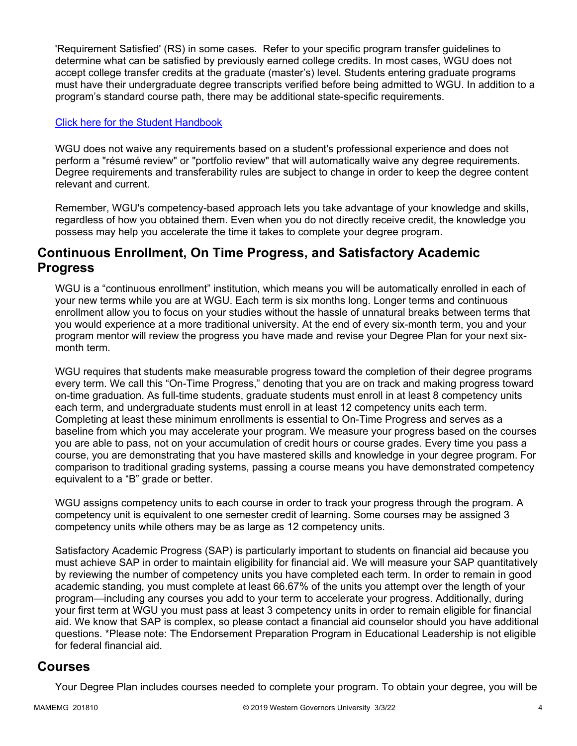'Requirement Satisfied' (RS) in some cases. Refer to your specific program transfer guidelines to determine what can be satisfied by previously earned college credits. In most cases, WGU does not accept college transfer credits at the graduate (master's) level. Students entering graduate programs must have their undergraduate degree transcripts verified before being admitted to WGU. In addition to a program's standard course path, there may be additional state-specific requirements.

#### [Click here for the Student Handbook](http://cm.wgu.edu/)

WGU does not waive any requirements based on a student's professional experience and does not perform a "résumé review" or "portfolio review" that will automatically waive any degree requirements. Degree requirements and transferability rules are subject to change in order to keep the degree content relevant and current.

Remember, WGU's competency-based approach lets you take advantage of your knowledge and skills, regardless of how you obtained them. Even when you do not directly receive credit, the knowledge you possess may help you accelerate the time it takes to complete your degree program.

### **Continuous Enrollment, On Time Progress, and Satisfactory Academic Progress**

WGU is a "continuous enrollment" institution, which means you will be automatically enrolled in each of your new terms while you are at WGU. Each term is six months long. Longer terms and continuous enrollment allow you to focus on your studies without the hassle of unnatural breaks between terms that you would experience at a more traditional university. At the end of every six-month term, you and your program mentor will review the progress you have made and revise your Degree Plan for your next sixmonth term.

WGU requires that students make measurable progress toward the completion of their degree programs every term. We call this "On-Time Progress," denoting that you are on track and making progress toward on-time graduation. As full-time students, graduate students must enroll in at least 8 competency units each term, and undergraduate students must enroll in at least 12 competency units each term. Completing at least these minimum enrollments is essential to On-Time Progress and serves as a baseline from which you may accelerate your program. We measure your progress based on the courses you are able to pass, not on your accumulation of credit hours or course grades. Every time you pass a course, you are demonstrating that you have mastered skills and knowledge in your degree program. For comparison to traditional grading systems, passing a course means you have demonstrated competency equivalent to a "B" grade or better.

WGU assigns competency units to each course in order to track your progress through the program. A competency unit is equivalent to one semester credit of learning. Some courses may be assigned 3 competency units while others may be as large as 12 competency units.

Satisfactory Academic Progress (SAP) is particularly important to students on financial aid because you must achieve SAP in order to maintain eligibility for financial aid. We will measure your SAP quantitatively by reviewing the number of competency units you have completed each term. In order to remain in good academic standing, you must complete at least 66.67% of the units you attempt over the length of your program—including any courses you add to your term to accelerate your progress. Additionally, during your first term at WGU you must pass at least 3 competency units in order to remain eligible for financial aid. We know that SAP is complex, so please contact a financial aid counselor should you have additional questions. \*Please note: The Endorsement Preparation Program in Educational Leadership is not eligible for federal financial aid.

### **Courses**

Your Degree Plan includes courses needed to complete your program. To obtain your degree, you will be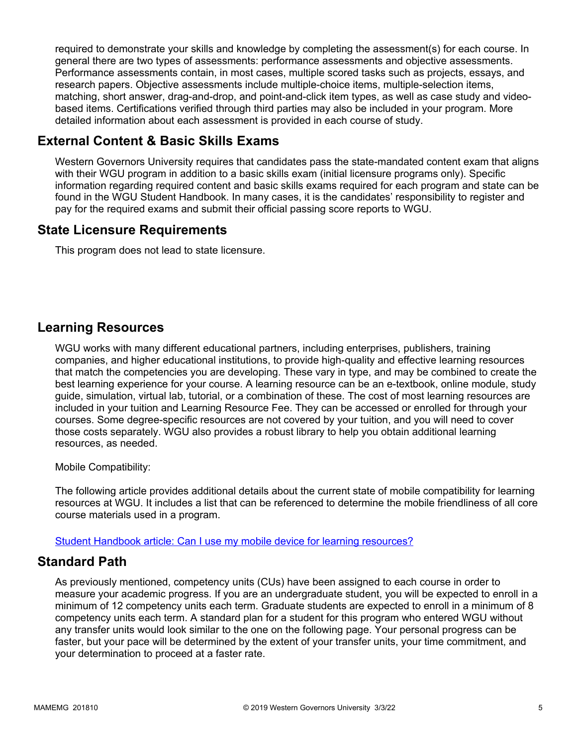required to demonstrate your skills and knowledge by completing the assessment(s) for each course. In general there are two types of assessments: performance assessments and objective assessments. Performance assessments contain, in most cases, multiple scored tasks such as projects, essays, and research papers. Objective assessments include multiple-choice items, multiple-selection items, matching, short answer, drag-and-drop, and point-and-click item types, as well as case study and videobased items. Certifications verified through third parties may also be included in your program. More detailed information about each assessment is provided in each course of study.

### **External Content & Basic Skills Exams**

Western Governors University requires that candidates pass the state-mandated content exam that aligns with their WGU program in addition to a basic skills exam (initial licensure programs only). Specific information regarding required content and basic skills exams required for each program and state can be found in the WGU Student Handbook. In many cases, it is the candidates' responsibility to register and pay for the required exams and submit their official passing score reports to WGU.

### **State Licensure Requirements**

This program does not lead to state licensure.

### **Learning Resources**

WGU works with many different educational partners, including enterprises, publishers, training companies, and higher educational institutions, to provide high-quality and effective learning resources that match the competencies you are developing. These vary in type, and may be combined to create the best learning experience for your course. A learning resource can be an e-textbook, online module, study guide, simulation, virtual lab, tutorial, or a combination of these. The cost of most learning resources are included in your tuition and Learning Resource Fee. They can be accessed or enrolled for through your courses. Some degree-specific resources are not covered by your tuition, and you will need to cover those costs separately. WGU also provides a robust library to help you obtain additional learning resources, as needed.

Mobile Compatibility:

The following article provides additional details about the current state of mobile compatibility for learning resources at WGU. It includes a list that can be referenced to determine the mobile friendliness of all core course materials used in a program.

[Student Handbook article: Can I use my mobile device for learning resources?](https://cm.wgu.edu/t5/Frequently-Asked-Questions/Can-I-use-my-mobile-device-for-learning-resources/ta-p/396)

### **Standard Path**

As previously mentioned, competency units (CUs) have been assigned to each course in order to measure your academic progress. If you are an undergraduate student, you will be expected to enroll in a minimum of 12 competency units each term. Graduate students are expected to enroll in a minimum of 8 competency units each term. A standard plan for a student for this program who entered WGU without any transfer units would look similar to the one on the following page. Your personal progress can be faster, but your pace will be determined by the extent of your transfer units, your time commitment, and your determination to proceed at a faster rate.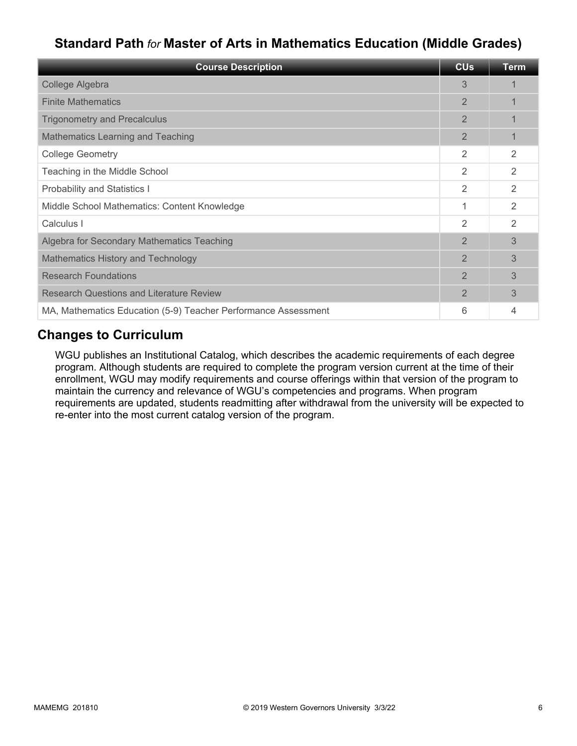# **Standard Path** *for* **Master of Arts in Mathematics Education (Middle Grades)**

| <b>Course Description</b>                                      | <b>CU<sub>s</sub></b> | <b>Term</b> |
|----------------------------------------------------------------|-----------------------|-------------|
| College Algebra                                                | 3                     |             |
| <b>Finite Mathematics</b>                                      | 2                     |             |
| <b>Trigonometry and Precalculus</b>                            | $\overline{2}$        |             |
| <b>Mathematics Learning and Teaching</b>                       | $\overline{2}$        |             |
| <b>College Geometry</b>                                        | 2                     | 2           |
| Teaching in the Middle School                                  | 2                     | 2           |
| <b>Probability and Statistics I</b>                            | 2                     | 2           |
| Middle School Mathematics: Content Knowledge                   | 1                     | 2           |
| Calculus I                                                     | 2                     | 2           |
| Algebra for Secondary Mathematics Teaching                     | $\overline{2}$        | 3           |
| <b>Mathematics History and Technology</b>                      | $\overline{2}$        | 3           |
| <b>Research Foundations</b>                                    | 2                     | 3           |
| <b>Research Questions and Literature Review</b>                | $\overline{2}$        | 3           |
| MA, Mathematics Education (5-9) Teacher Performance Assessment | 6                     | 4           |

### **Changes to Curriculum**

WGU publishes an Institutional Catalog, which describes the academic requirements of each degree program. Although students are required to complete the program version current at the time of their enrollment, WGU may modify requirements and course offerings within that version of the program to maintain the currency and relevance of WGU's competencies and programs. When program requirements are updated, students readmitting after withdrawal from the university will be expected to re-enter into the most current catalog version of the program.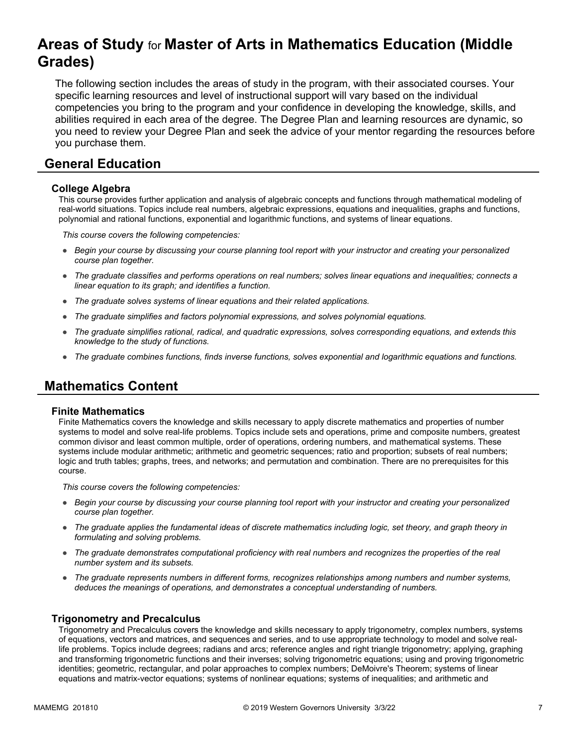# **Areas of Study** for **Master of Arts in Mathematics Education (Middle Grades)**

The following section includes the areas of study in the program, with their associated courses. Your specific learning resources and level of instructional support will vary based on the individual competencies you bring to the program and your confidence in developing the knowledge, skills, and abilities required in each area of the degree. The Degree Plan and learning resources are dynamic, so you need to review your Degree Plan and seek the advice of your mentor regarding the resources before you purchase them.

### **General Education**

#### **College Algebra**

This course provides further application and analysis of algebraic concepts and functions through mathematical modeling of real-world situations. Topics include real numbers, algebraic expressions, equations and inequalities, graphs and functions, polynomial and rational functions, exponential and logarithmic functions, and systems of linear equations.

*This course covers the following competencies:*

- *Begin your course by discussing your course planning tool report with your instructor and creating your personalized course plan together.*
- *The graduate classifies and performs operations on real numbers; solves linear equations and inequalities; connects a linear equation to its graph; and identifies a function.*
- *The graduate solves systems of linear equations and their related applications.*
- *The graduate simplifies and factors polynomial expressions, and solves polynomial equations.*
- *The graduate simplifies rational, radical, and quadratic expressions, solves corresponding equations, and extends this knowledge to the study of functions.*
- *The graduate combines functions, finds inverse functions, solves exponential and logarithmic equations and functions.*

### **Mathematics Content**

#### **Finite Mathematics**

Finite Mathematics covers the knowledge and skills necessary to apply discrete mathematics and properties of number systems to model and solve real-life problems. Topics include sets and operations, prime and composite numbers, greatest common divisor and least common multiple, order of operations, ordering numbers, and mathematical systems. These systems include modular arithmetic; arithmetic and geometric sequences; ratio and proportion; subsets of real numbers; logic and truth tables; graphs, trees, and networks; and permutation and combination. There are no prerequisites for this course.

*This course covers the following competencies:*

- *Begin your course by discussing your course planning tool report with your instructor and creating your personalized course plan together.*
- *The graduate applies the fundamental ideas of discrete mathematics including logic, set theory, and graph theory in formulating and solving problems.*
- *The graduate demonstrates computational proficiency with real numbers and recognizes the properties of the real number system and its subsets.*
- *The graduate represents numbers in different forms, recognizes relationships among numbers and number systems, deduces the meanings of operations, and demonstrates a conceptual understanding of numbers.*

#### **Trigonometry and Precalculus**

Trigonometry and Precalculus covers the knowledge and skills necessary to apply trigonometry, complex numbers, systems of equations, vectors and matrices, and sequences and series, and to use appropriate technology to model and solve reallife problems. Topics include degrees; radians and arcs; reference angles and right triangle trigonometry; applying, graphing and transforming trigonometric functions and their inverses; solving trigonometric equations; using and proving trigonometric identities; geometric, rectangular, and polar approaches to complex numbers; DeMoivre's Theorem; systems of linear equations and matrix-vector equations; systems of nonlinear equations; systems of inequalities; and arithmetic and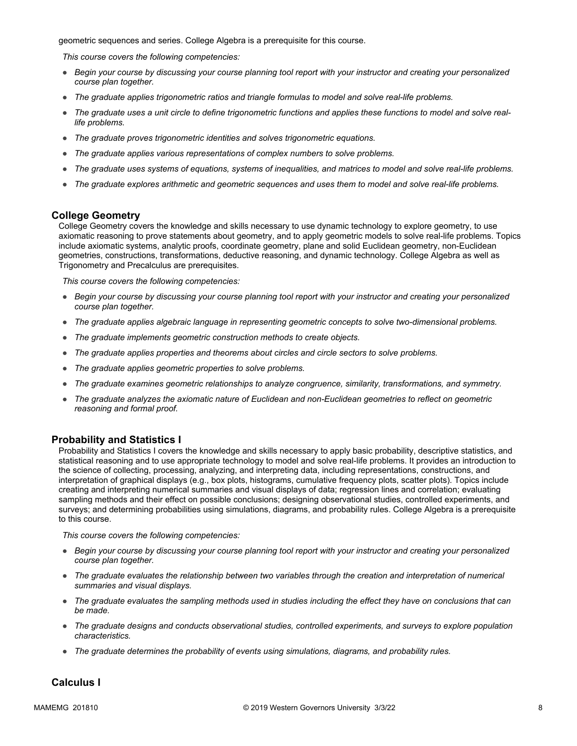geometric sequences and series. College Algebra is a prerequisite for this course.

*This course covers the following competencies:*

- *Begin your course by discussing your course planning tool report with your instructor and creating your personalized course plan together.*
- *The graduate applies trigonometric ratios and triangle formulas to model and solve real-life problems.*
- *The graduate uses a unit circle to define trigonometric functions and applies these functions to model and solve reallife problems.*
- *The graduate proves trigonometric identities and solves trigonometric equations.*
- *The graduate applies various representations of complex numbers to solve problems.*
- *The graduate uses systems of equations, systems of inequalities, and matrices to model and solve real-life problems.*
- *The graduate explores arithmetic and geometric sequences and uses them to model and solve real-life problems.*

#### **College Geometry**

College Geometry covers the knowledge and skills necessary to use dynamic technology to explore geometry, to use axiomatic reasoning to prove statements about geometry, and to apply geometric models to solve real-life problems. Topics include axiomatic systems, analytic proofs, coordinate geometry, plane and solid Euclidean geometry, non-Euclidean geometries, constructions, transformations, deductive reasoning, and dynamic technology. College Algebra as well as Trigonometry and Precalculus are prerequisites.

*This course covers the following competencies:*

- *Begin your course by discussing your course planning tool report with your instructor and creating your personalized course plan together.*
- *The graduate applies algebraic language in representing geometric concepts to solve two-dimensional problems.*
- *The graduate implements geometric construction methods to create objects.*
- *The graduate applies properties and theorems about circles and circle sectors to solve problems.*
- *The graduate applies geometric properties to solve problems.*
- *The graduate examines geometric relationships to analyze congruence, similarity, transformations, and symmetry.*
- *The graduate analyzes the axiomatic nature of Euclidean and non-Euclidean geometries to reflect on geometric reasoning and formal proof.*

#### **Probability and Statistics I**

Probability and Statistics I covers the knowledge and skills necessary to apply basic probability, descriptive statistics, and statistical reasoning and to use appropriate technology to model and solve real-life problems. It provides an introduction to the science of collecting, processing, analyzing, and interpreting data, including representations, constructions, and interpretation of graphical displays (e.g., box plots, histograms, cumulative frequency plots, scatter plots). Topics include creating and interpreting numerical summaries and visual displays of data; regression lines and correlation; evaluating sampling methods and their effect on possible conclusions; designing observational studies, controlled experiments, and surveys; and determining probabilities using simulations, diagrams, and probability rules. College Algebra is a prerequisite to this course.

*This course covers the following competencies:*

- *Begin your course by discussing your course planning tool report with your instructor and creating your personalized course plan together.*
- *The graduate evaluates the relationship between two variables through the creation and interpretation of numerical summaries and visual displays.*
- *The graduate evaluates the sampling methods used in studies including the effect they have on conclusions that can be made.*
- *The graduate designs and conducts observational studies, controlled experiments, and surveys to explore population characteristics.*
- *The graduate determines the probability of events using simulations, diagrams, and probability rules.*

#### **Calculus I**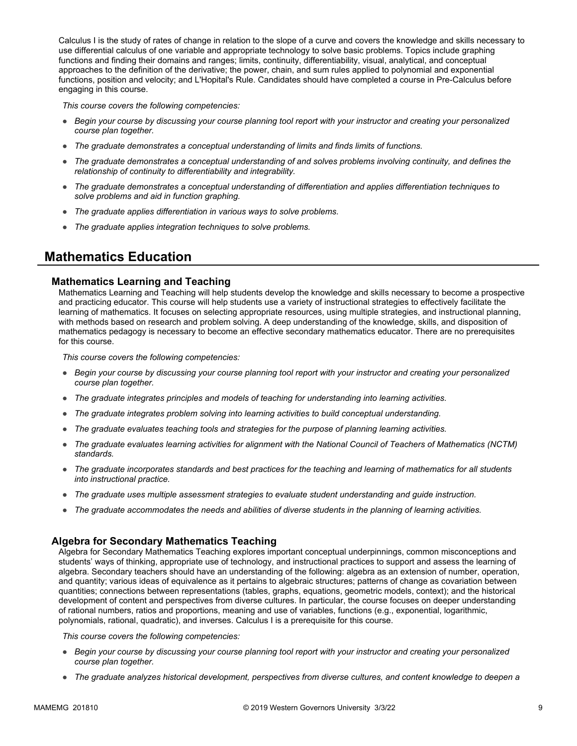Calculus I is the study of rates of change in relation to the slope of a curve and covers the knowledge and skills necessary to use differential calculus of one variable and appropriate technology to solve basic problems. Topics include graphing functions and finding their domains and ranges; limits, continuity, differentiability, visual, analytical, and conceptual approaches to the definition of the derivative; the power, chain, and sum rules applied to polynomial and exponential functions, position and velocity; and L'Hopital's Rule. Candidates should have completed a course in Pre-Calculus before engaging in this course.

*This course covers the following competencies:*

- *Begin your course by discussing your course planning tool report with your instructor and creating your personalized course plan together.*
- *The graduate demonstrates a conceptual understanding of limits and finds limits of functions.*
- *The graduate demonstrates a conceptual understanding of and solves problems involving continuity, and defines the relationship of continuity to differentiability and integrability.*
- *The graduate demonstrates a conceptual understanding of differentiation and applies differentiation techniques to solve problems and aid in function graphing.*
- *The graduate applies differentiation in various ways to solve problems.*
- *The graduate applies integration techniques to solve problems.*

### **Mathematics Education**

#### **Mathematics Learning and Teaching**

Mathematics Learning and Teaching will help students develop the knowledge and skills necessary to become a prospective and practicing educator. This course will help students use a variety of instructional strategies to effectively facilitate the learning of mathematics. It focuses on selecting appropriate resources, using multiple strategies, and instructional planning, with methods based on research and problem solving. A deep understanding of the knowledge, skills, and disposition of mathematics pedagogy is necessary to become an effective secondary mathematics educator. There are no prerequisites for this course.

*This course covers the following competencies:*

- *Begin your course by discussing your course planning tool report with your instructor and creating your personalized course plan together.*
- *The graduate integrates principles and models of teaching for understanding into learning activities.*
- *The graduate integrates problem solving into learning activities to build conceptual understanding.*
- *The graduate evaluates teaching tools and strategies for the purpose of planning learning activities.*
- *The graduate evaluates learning activities for alignment with the National Council of Teachers of Mathematics (NCTM) standards.*
- *The graduate incorporates standards and best practices for the teaching and learning of mathematics for all students into instructional practice.*
- *The graduate uses multiple assessment strategies to evaluate student understanding and guide instruction.*
- *The graduate accommodates the needs and abilities of diverse students in the planning of learning activities.*

#### **Algebra for Secondary Mathematics Teaching**

Algebra for Secondary Mathematics Teaching explores important conceptual underpinnings, common misconceptions and students' ways of thinking, appropriate use of technology, and instructional practices to support and assess the learning of algebra. Secondary teachers should have an understanding of the following: algebra as an extension of number, operation, and quantity; various ideas of equivalence as it pertains to algebraic structures; patterns of change as covariation between quantities; connections between representations (tables, graphs, equations, geometric models, context); and the historical development of content and perspectives from diverse cultures. In particular, the course focuses on deeper understanding of rational numbers, ratios and proportions, meaning and use of variables, functions (e.g., exponential, logarithmic, polynomials, rational, quadratic), and inverses. Calculus I is a prerequisite for this course.

*This course covers the following competencies:*

- *Begin your course by discussing your course planning tool report with your instructor and creating your personalized course plan together.*
- *The graduate analyzes historical development, perspectives from diverse cultures, and content knowledge to deepen a*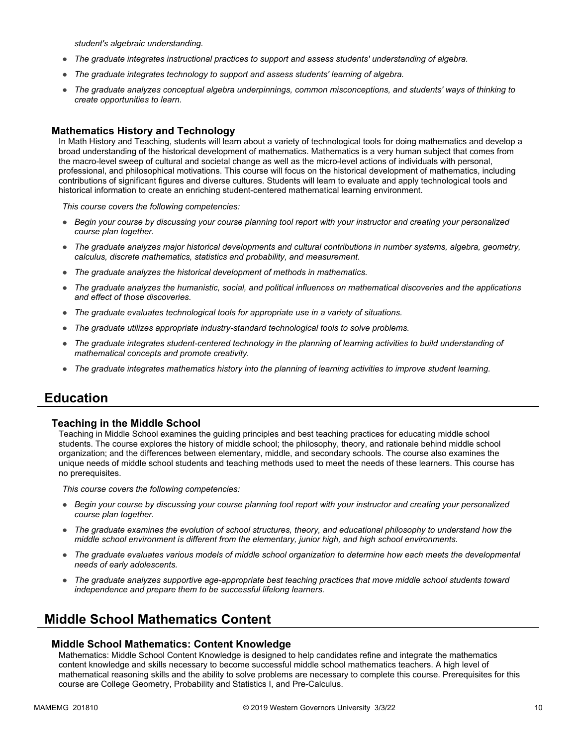*student's algebraic understanding.*

- *The graduate integrates instructional practices to support and assess students' understanding of algebra.*
- *The graduate integrates technology to support and assess students' learning of algebra.*
- *The graduate analyzes conceptual algebra underpinnings, common misconceptions, and students' ways of thinking to create opportunities to learn.*

#### **Mathematics History and Technology**

In Math History and Teaching, students will learn about a variety of technological tools for doing mathematics and develop a broad understanding of the historical development of mathematics. Mathematics is a very human subject that comes from the macro-level sweep of cultural and societal change as well as the micro-level actions of individuals with personal, professional, and philosophical motivations. This course will focus on the historical development of mathematics, including contributions of significant figures and diverse cultures. Students will learn to evaluate and apply technological tools and historical information to create an enriching student-centered mathematical learning environment.

*This course covers the following competencies:*

- *Begin your course by discussing your course planning tool report with your instructor and creating your personalized course plan together.*
- *The graduate analyzes major historical developments and cultural contributions in number systems, algebra, geometry, calculus, discrete mathematics, statistics and probability, and measurement.*
- *The graduate analyzes the historical development of methods in mathematics.*
- *The graduate analyzes the humanistic, social, and political influences on mathematical discoveries and the applications and effect of those discoveries.*
- *The graduate evaluates technological tools for appropriate use in a variety of situations.*
- *The graduate utilizes appropriate industry-standard technological tools to solve problems.*
- *The graduate integrates student-centered technology in the planning of learning activities to build understanding of mathematical concepts and promote creativity.*
- *The graduate integrates mathematics history into the planning of learning activities to improve student learning.*

### **Education**

#### **Teaching in the Middle School**

Teaching in Middle School examines the guiding principles and best teaching practices for educating middle school students. The course explores the history of middle school; the philosophy, theory, and rationale behind middle school organization; and the differences between elementary, middle, and secondary schools. The course also examines the unique needs of middle school students and teaching methods used to meet the needs of these learners. This course has no prerequisites.

*This course covers the following competencies:*

- *Begin your course by discussing your course planning tool report with your instructor and creating your personalized course plan together.*
- *The graduate examines the evolution of school structures, theory, and educational philosophy to understand how the middle school environment is different from the elementary, junior high, and high school environments.*
- *The graduate evaluates various models of middle school organization to determine how each meets the developmental needs of early adolescents.*
- *The graduate analyzes supportive age-appropriate best teaching practices that move middle school students toward independence and prepare them to be successful lifelong learners.*

### **Middle School Mathematics Content**

#### **Middle School Mathematics: Content Knowledge**

Mathematics: Middle School Content Knowledge is designed to help candidates refine and integrate the mathematics content knowledge and skills necessary to become successful middle school mathematics teachers. A high level of mathematical reasoning skills and the ability to solve problems are necessary to complete this course. Prerequisites for this course are College Geometry, Probability and Statistics I, and Pre-Calculus.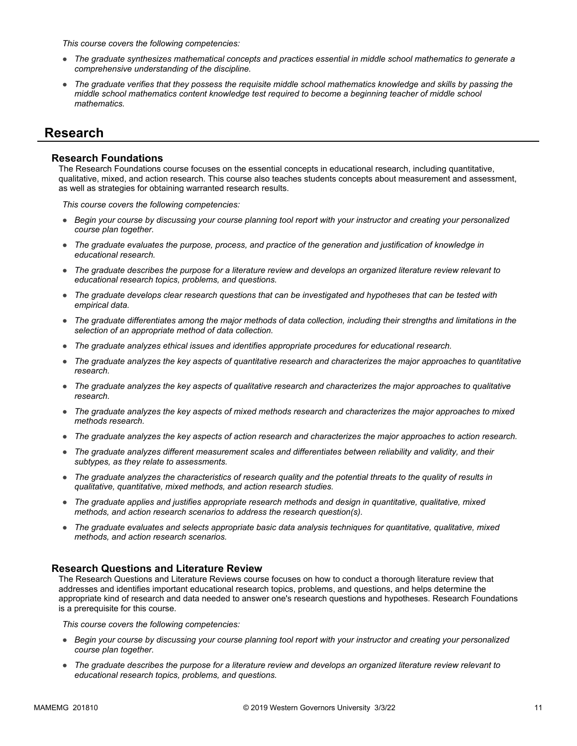*This course covers the following competencies:*

- *The graduate synthesizes mathematical concepts and practices essential in middle school mathematics to generate a comprehensive understanding of the discipline.*
- *The graduate verifies that they possess the requisite middle school mathematics knowledge and skills by passing the middle school mathematics content knowledge test required to become a beginning teacher of middle school mathematics.*

### **Research**

#### **Research Foundations**

The Research Foundations course focuses on the essential concepts in educational research, including quantitative, qualitative, mixed, and action research. This course also teaches students concepts about measurement and assessment, as well as strategies for obtaining warranted research results.

*This course covers the following competencies:*

- *Begin your course by discussing your course planning tool report with your instructor and creating your personalized course plan together.*
- *The graduate evaluates the purpose, process, and practice of the generation and justification of knowledge in educational research.*
- *The graduate describes the purpose for a literature review and develops an organized literature review relevant to educational research topics, problems, and questions.*
- *The graduate develops clear research questions that can be investigated and hypotheses that can be tested with empirical data.*
- *The graduate differentiates among the major methods of data collection, including their strengths and limitations in the selection of an appropriate method of data collection.*
- *The graduate analyzes ethical issues and identifies appropriate procedures for educational research.*
- *The graduate analyzes the key aspects of quantitative research and characterizes the major approaches to quantitative research.*
- *The graduate analyzes the key aspects of qualitative research and characterizes the major approaches to qualitative research.*
- *The graduate analyzes the key aspects of mixed methods research and characterizes the major approaches to mixed methods research.*
- *The graduate analyzes the key aspects of action research and characterizes the major approaches to action research.*
- *The graduate analyzes different measurement scales and differentiates between reliability and validity, and their subtypes, as they relate to assessments.*
- *The graduate analyzes the characteristics of research quality and the potential threats to the quality of results in qualitative, quantitative, mixed methods, and action research studies.*
- *The graduate applies and justifies appropriate research methods and design in quantitative, qualitative, mixed methods, and action research scenarios to address the research question(s).*
- *The graduate evaluates and selects appropriate basic data analysis techniques for quantitative, qualitative, mixed methods, and action research scenarios.*

#### **Research Questions and Literature Review**

The Research Questions and Literature Reviews course focuses on how to conduct a thorough literature review that addresses and identifies important educational research topics, problems, and questions, and helps determine the appropriate kind of research and data needed to answer one's research questions and hypotheses. Research Foundations is a prerequisite for this course.

*This course covers the following competencies:*

- *Begin your course by discussing your course planning tool report with your instructor and creating your personalized course plan together.*
- *The graduate describes the purpose for a literature review and develops an organized literature review relevant to educational research topics, problems, and questions.*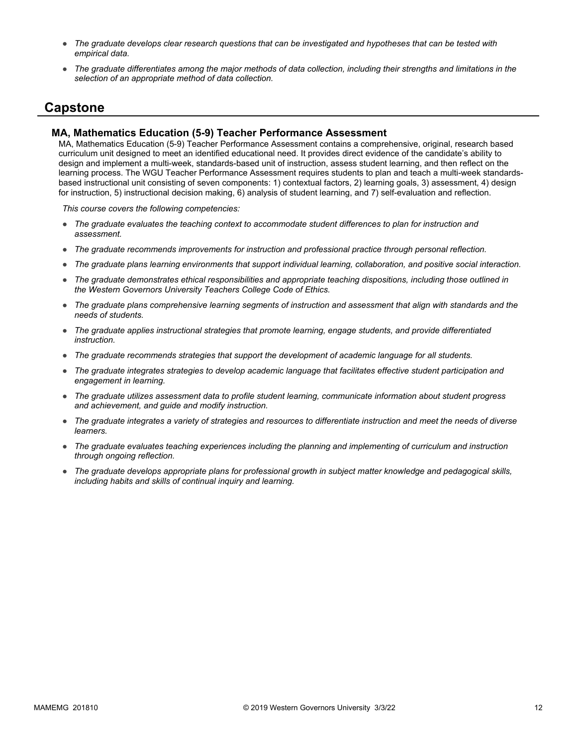- *The graduate develops clear research questions that can be investigated and hypotheses that can be tested with empirical data.*
- *The graduate differentiates among the major methods of data collection, including their strengths and limitations in the selection of an appropriate method of data collection.*

### **Capstone**

#### **MA, Mathematics Education (5-9) Teacher Performance Assessment**

MA, Mathematics Education (5-9) Teacher Performance Assessment contains a comprehensive, original, research based curriculum unit designed to meet an identified educational need. It provides direct evidence of the candidate's ability to design and implement a multi-week, standards-based unit of instruction, assess student learning, and then reflect on the learning process. The WGU Teacher Performance Assessment requires students to plan and teach a multi-week standardsbased instructional unit consisting of seven components: 1) contextual factors, 2) learning goals, 3) assessment, 4) design for instruction, 5) instructional decision making, 6) analysis of student learning, and 7) self-evaluation and reflection.

*This course covers the following competencies:*

- *The graduate evaluates the teaching context to accommodate student differences to plan for instruction and assessment.*
- *The graduate recommends improvements for instruction and professional practice through personal reflection.*
- *The graduate plans learning environments that support individual learning, collaboration, and positive social interaction.*
- *The graduate demonstrates ethical responsibilities and appropriate teaching dispositions, including those outlined in the Western Governors University Teachers College Code of Ethics.*
- *The graduate plans comprehensive learning segments of instruction and assessment that align with standards and the needs of students.*
- *The graduate applies instructional strategies that promote learning, engage students, and provide differentiated instruction.*
- *The graduate recommends strategies that support the development of academic language for all students.*
- *The graduate integrates strategies to develop academic language that facilitates effective student participation and engagement in learning.*
- *The graduate utilizes assessment data to profile student learning, communicate information about student progress and achievement, and guide and modify instruction.*
- *The graduate integrates a variety of strategies and resources to differentiate instruction and meet the needs of diverse learners.*
- *The graduate evaluates teaching experiences including the planning and implementing of curriculum and instruction through ongoing reflection.*
- *The graduate develops appropriate plans for professional growth in subject matter knowledge and pedagogical skills, including habits and skills of continual inquiry and learning.*